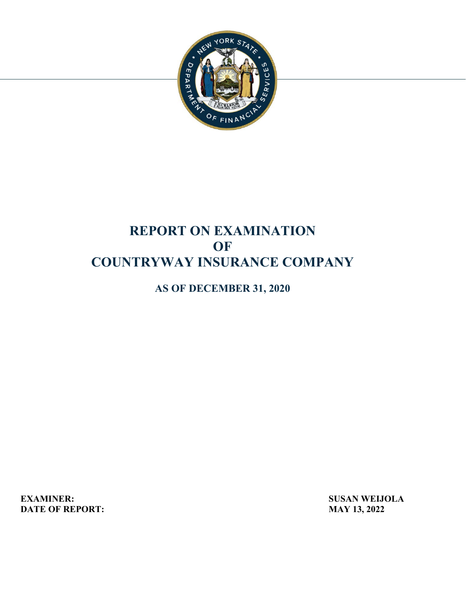

# **REPORT ON EXAMINATION OF COUNTRYWAY INSURANCE COMPANY**

**AS OF DECEMBER 31, 2020** 

**DATE OF REPORT:** MAY 13, 2022 **EXAMINER:** SUSAN WEIJOLA<br>
DATE OF REPORT: MAY 13, 2022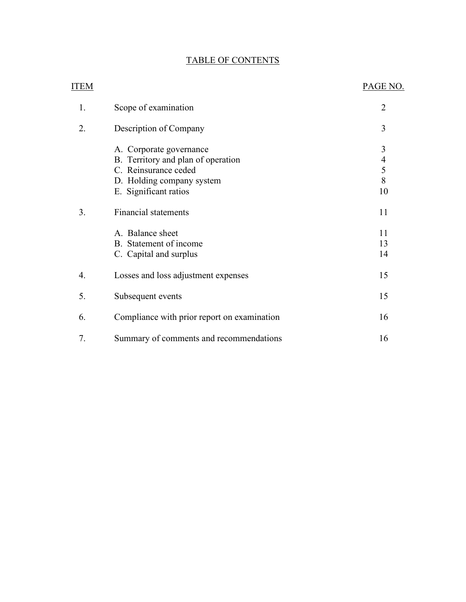# TABLE OF CONTENTS

| <b>ITEM</b> |                                                                                                                                                                            | PAGE NO.                                  |
|-------------|----------------------------------------------------------------------------------------------------------------------------------------------------------------------------|-------------------------------------------|
| 1.          | Scope of examination                                                                                                                                                       | $\overline{2}$                            |
| 2.          | Description of Company                                                                                                                                                     | 3                                         |
| 3.          | A. Corporate governance<br>B. Territory and plan of operation<br>C. Reinsurance ceded<br>D. Holding company system<br>E. Significant ratios<br><b>Financial statements</b> | 3<br>$\overline{4}$<br>5<br>8<br>10<br>11 |
|             | A. Balance sheet<br>B. Statement of income<br>C. Capital and surplus                                                                                                       | 11<br>13<br>14                            |
| 4.          | Losses and loss adjustment expenses                                                                                                                                        | 15                                        |
| 5.          | Subsequent events                                                                                                                                                          | 15                                        |
| 6.          | Compliance with prior report on examination                                                                                                                                | 16                                        |
| 7.          | Summary of comments and recommendations                                                                                                                                    | 16                                        |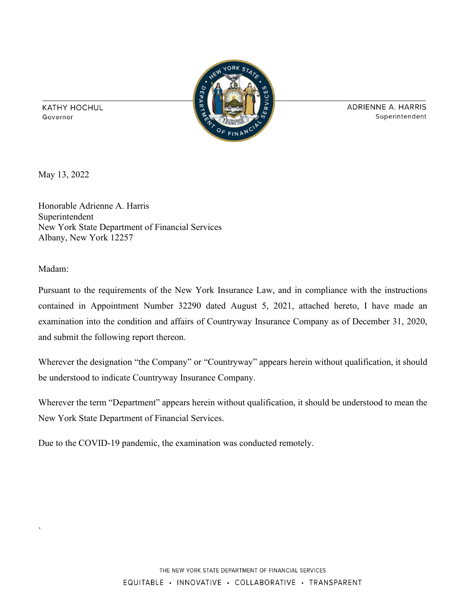

**ADRIENNE A. HARRIS** Superintendent

**KATHY HOCHUL** Governor

May 13, 2022

Honorable Adrienne A. Harris Superintendent New York State Department of Financial Services Albany, New York 12257

Madam:

`

Pursuant to the requirements of the New York Insurance Law, and in compliance with the instructions contained in Appointment Number 32290 dated August 5, 2021, attached hereto, I have made an examination into the condition and affairs of Countryway Insurance Company as of December 31, 2020, and submit the following report thereon.

Wherever the designation "the Company" or "Countryway" appears herein without qualification, it should be understood to indicate Countryway Insurance Company.

Wherever the term "Department" appears herein without qualification, it should be understood to mean the New York State Department of Financial Services.

Due to the COVID-19 pandemic, the examination was conducted remotely.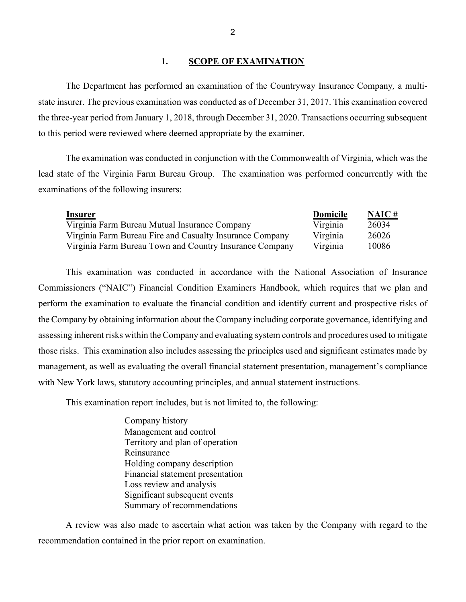## 1. **SCOPE OF EXAMINATION**

<span id="page-3-0"></span>The Department has performed an examination of the Countryway Insurance Company*,* a multistate insurer. The previous examination was conducted as of December 31, 2017. This examination covered the three-year period from January 1, 2018, through December 31, 2020. Transactions occurring subsequent to this period were reviewed where deemed appropriate by the examiner.

 The examination was conducted in conjunction with the Commonwealth of Virginia, which was the examinations of the following insurers: lead state of the Virginia Farm Bureau Group. The examination was performed concurrently with the

| Insurer                                                  | <b>Domicile</b> | NAIC# |
|----------------------------------------------------------|-----------------|-------|
| Virginia Farm Bureau Mutual Insurance Company            | Virginia        | 26034 |
| Virginia Farm Bureau Fire and Casualty Insurance Company | Virginia        | 26026 |
| Virginia Farm Bureau Town and Country Insurance Company  | Virginia        | 10086 |

 This examination was conducted in accordance with the National Association of Insurance those risks. This examination also includes assessing the principles used and significant estimates made by with New York laws, statutory accounting principles, and annual statement instructions. Commissioners ("NAIC") Financial Condition Examiners Handbook, which requires that we plan and perform the examination to evaluate the financial condition and identify current and prospective risks of the Company by obtaining information about the Company including corporate governance, identifying and assessing inherent risks within the Company and evaluating system controls and procedures used to mitigate management, as well as evaluating the overall financial statement presentation, management's compliance

This examination report includes, but is not limited to, the following:

Company history Management and control Territory and plan of operation Reinsurance Holding company description Financial statement presentation Loss review and analysis Significant subsequent events Summary of recommendations

 recommendation contained in the prior report on examination. A review was also made to ascertain what action was taken by the Company with regard to the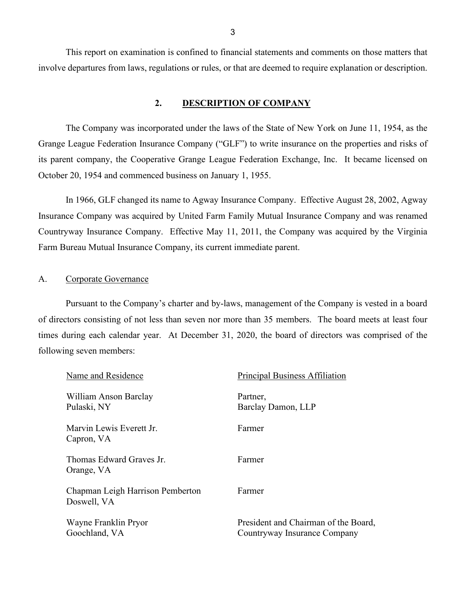This report on examination is confined to financial statements and comments on those matters that involve departures from laws, regulations or rules, or that are deemed to require explanation or description.

## **2. DESCRIPTION OF COMPANY**

<span id="page-4-0"></span>The Company was incorporated under the laws of the State of New York on June 11, 1954, as the Grange League Federation Insurance Company ("GLF") to write insurance on the properties and risks of its parent company, the Cooperative Grange League Federation Exchange, Inc. It became licensed on October 20, 1954 and commenced business on January 1, 1955.

 Insurance Company was acquired by United Farm Family Mutual Insurance Company and was renamed In 1966, GLF changed its name to Agway Insurance Company. Effective August 28, 2002, Agway Countryway Insurance Company. Effective May 11, 2011, the Company was acquired by the Virginia Farm Bureau Mutual Insurance Company, its current immediate parent.

## <span id="page-4-1"></span>A. Corporate Governance

 following seven members: Pursuant to the Company's charter and by-laws, management of the Company is vested in a board of directors consisting of not less than seven nor more than 35 members. The board meets at least four times during each calendar year. At December 31, 2020, the board of directors was comprised of the

| Name and Residence                              | <b>Principal Business Affiliation</b>                                |
|-------------------------------------------------|----------------------------------------------------------------------|
| William Anson Barclay<br>Pulaski, NY            | Partner,<br>Barclay Damon, LLP                                       |
| Marvin Lewis Everett Jr.<br>Capron, VA          | Farmer                                                               |
| Thomas Edward Graves Jr.<br>Orange, VA          | Farmer                                                               |
| Chapman Leigh Harrison Pemberton<br>Doswell, VA | Farmer                                                               |
| Wayne Franklin Pryor<br>Goochland, VA           | President and Chairman of the Board,<br>Countryway Insurance Company |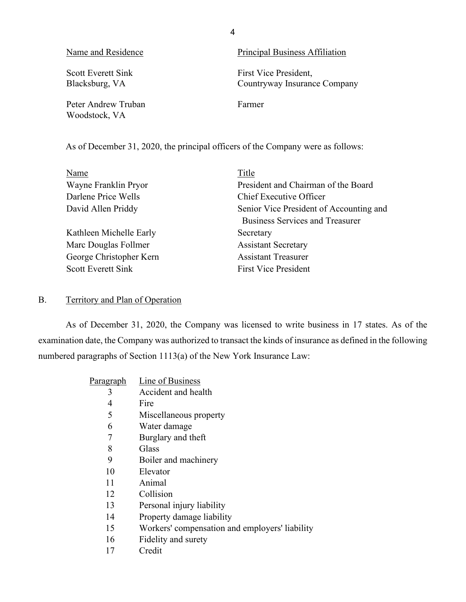| Name and Residence                          | Principal Business Affiliation                        |
|---------------------------------------------|-------------------------------------------------------|
| <b>Scott Everett Sink</b><br>Blacksburg, VA | First Vice President,<br>Countryway Insurance Company |
| Peter Andrew Truban<br>Woodstock, VA        | Farmer                                                |

As of December 31, 2020, the principal officers of the Company were as follows:

4

<span id="page-5-0"></span>

| Name                      | Title                                   |
|---------------------------|-----------------------------------------|
| Wayne Franklin Pryor      | President and Chairman of the Board     |
| Darlene Price Wells       | Chief Executive Officer                 |
| David Allen Priddy        | Senior Vice President of Accounting and |
|                           | <b>Business Services and Treasurer</b>  |
| Kathleen Michelle Early   | Secretary                               |
| Marc Douglas Follmer      | <b>Assistant Secretary</b>              |
| George Christopher Kern   | <b>Assistant Treasurer</b>              |
| <b>Scott Everett Sink</b> | <b>First Vice President</b>             |

## B. Territory and Plan of Operation

 As of December 31, 2020, the Company was licensed to write business in 17 states. As of the examination date, the Company was authorized to transact the kinds of insurance as defined in the following numbered paragraphs of Section 1113(a) of the New York Insurance Law:

| Paragraph | Line of Business                               |
|-----------|------------------------------------------------|
| 3         | Accident and health                            |
| 4         | Fire                                           |
| 5         | Miscellaneous property                         |
| 6         | Water damage                                   |
| 7         | Burglary and theft                             |
| 8         | Glass                                          |
| 9         | Boiler and machinery                           |
| 10        | Elevator                                       |
| 11        | Animal                                         |
| 12        | Collision                                      |
| 13        | Personal injury liability                      |
| 14        | Property damage liability                      |
| 15        | Workers' compensation and employers' liability |
| 16        | Fidelity and surety                            |
| 17        | Credit                                         |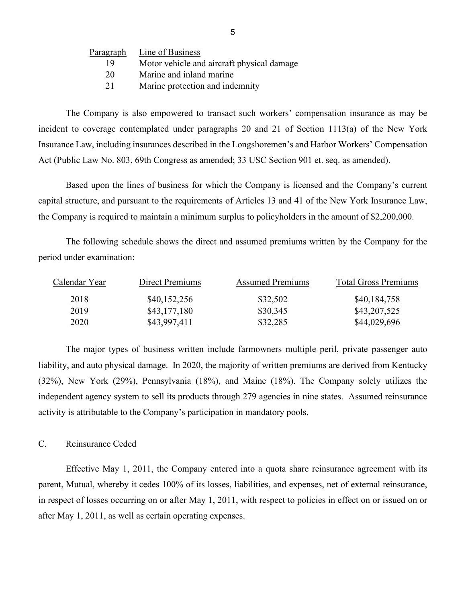| Paragraph | Line of Business                           |
|-----------|--------------------------------------------|
| 19        | Motor vehicle and aircraft physical damage |
| 20        | Marine and inland marine                   |
| 21        | Marine protection and indemnity            |

The Company is also empowered to transact such workers' compensation insurance as may be incident to coverage contemplated under paragraphs 20 and 21 of Section 1113(a) of the New York Insurance Law, including insurances described in the Longshoremen's and Harbor Workers' Compensation Act (Public Law No. 803, 69th Congress as amended; 33 USC Section 901 et. seq. as amended).

Based upon the lines of business for which the Company is licensed and the Company's current capital structure, and pursuant to the requirements of Articles 13 and 41 of the New York Insurance Law, the Company is required to maintain a minimum surplus to policyholders in the amount of \$2,200,000.

The following schedule shows the direct and assumed premiums written by the Company for the period under examination:

| Calendar Year | Direct Premiums | <b>Assumed Premiums</b> | <b>Total Gross Premiums</b> |
|---------------|-----------------|-------------------------|-----------------------------|
| 2018          | \$40,152,256    | \$32,502                | \$40,184,758                |
| 2019          | \$43,177,180    | \$30,345                | \$43,207,525                |
| 2020          | \$43,997,411    | \$32,285                | \$44,029,696                |

 liability, and auto physical damage. In 2020, the majority of written premiums are derived from Kentucky The major types of business written include farmowners multiple peril, private passenger auto (32%), New York (29%), Pennsylvania (18%), and Maine (18%). The Company solely utilizes the independent agency system to sell its products through 279 agencies in nine states. Assumed reinsurance activity is attributable to the Company's participation in mandatory pools.

## <span id="page-6-0"></span>C. Reinsurance Ceded

Effective May 1, 2011, the Company entered into a quota share reinsurance agreement with its parent, Mutual, whereby it cedes 100% of its losses, liabilities, and expenses, net of external reinsurance, in respect of losses occurring on or after May 1, 2011, with respect to policies in effect on or issued on or after May 1, 2011, as well as certain operating expenses.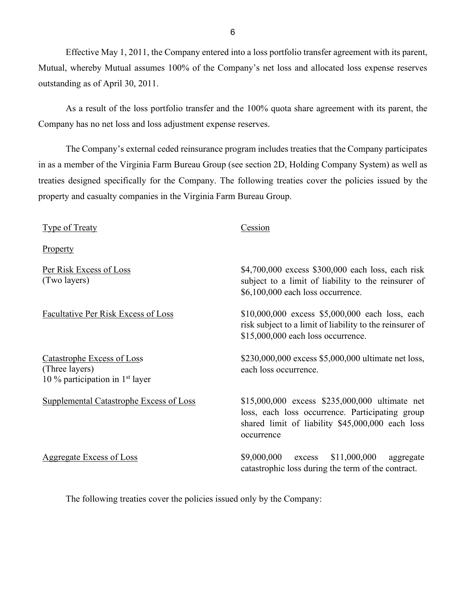Effective May 1, 2011, the Company entered into a loss portfolio transfer agreement with its parent, Mutual, whereby Mutual assumes 100% of the Company's net loss and allocated loss expense reserves outstanding as of April 30, 2011.

As a result of the loss portfolio transfer and the 100% quota share agreement with its parent, the Company has no net loss and loss adjustment expense reserves.

 The Company's external ceded reinsurance program includes treaties that the Company participates in as a member of the Virginia Farm Bureau Group (see section 2D, Holding Company System) as well as treaties designed specifically for the Company. The following treaties cover the policies issued by the property and casualty companies in the Virginia Farm Bureau Group.

 risk subject to a limit of liability to the reinsurer of Type of Treaty Cession Property Per Risk Excess of Loss (Two layers) \$4,700,000 excess \$300,000 each loss, each risk subject to a limit of liability to the reinsurer of \$6,100,000 each loss occurrence. Facultative Per Risk Excess of Loss \$10,000,000 excess \$5,000,000 each loss, each \$15,000,000 each loss occurrence. Catastrophe Excess of Loss (Three layers) 10 % participation in  $1<sup>st</sup>$  layer \$230,000,000 excess \$5,000,000 ultimate net loss, each loss occurrence. Supplemental Catastrophe Excess of Loss \$15,000,000 excess \$235,000,000 ultimate net loss, each loss occurrence. Participating group shared limit of liability \$45,000,000 each loss occurrence Aggregate Excess of Loss  $$9,000,000$  excess  $$11,000,000$  aggregate catastrophic loss during the term of the contract.

The following treaties cover the policies issued only by the Company: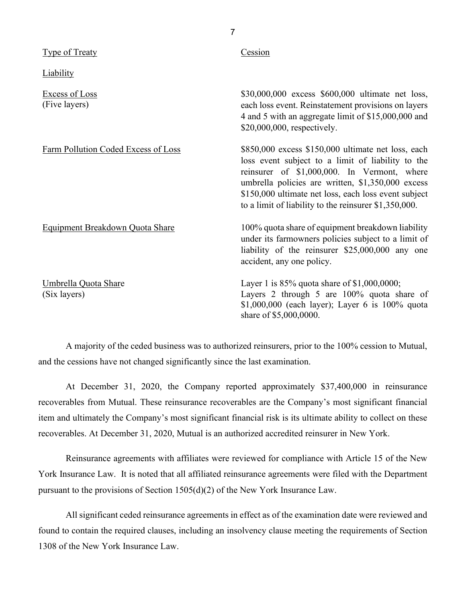| Type of Treaty                       | Cession                                                                                                                                                                                                                                                                                                                        |
|--------------------------------------|--------------------------------------------------------------------------------------------------------------------------------------------------------------------------------------------------------------------------------------------------------------------------------------------------------------------------------|
| <b>Liability</b>                     |                                                                                                                                                                                                                                                                                                                                |
| Excess of Loss<br>(Five layers)      | \$30,000,000 excess \$600,000 ultimate net loss,<br>each loss event. Reinstatement provisions on layers<br>4 and 5 with an aggregate limit of \$15,000,000 and<br>\$20,000,000, respectively.                                                                                                                                  |
| Farm Pollution Coded Excess of Loss  | \$850,000 excess \$150,000 ultimate net loss, each<br>loss event subject to a limit of liability to the<br>reinsurer of \$1,000,000. In Vermont, where<br>umbrella policies are written, \$1,350,000 excess<br>\$150,000 ultimate net loss, each loss event subject<br>to a limit of liability to the reinsurer $$1,350,000$ . |
| Equipment Breakdown Quota Share      | 100% quota share of equipment breakdown liability<br>under its farmowners policies subject to a limit of<br>liability of the reinsurer \$25,000,000 any one<br>accident, any one policy.                                                                                                                                       |
| Umbrella Quota Share<br>(Six layers) | Layer 1 is $85\%$ quota share of \$1,000,0000;<br>Layers 2 through 5 are 100% quota share of<br>\$1,000,000 (each layer); Layer 6 is 100% quota<br>share of \$5,000,0000.                                                                                                                                                      |

 A majority of the ceded business was to authorized reinsurers, prior to the 100% cession to Mutual, and the cessions have not changed significantly since the last examination.

At December 31, 2020, the Company reported approximately \$37,400,000 in reinsurance recoverables from Mutual. These reinsurance recoverables are the Company's most significant financial item and ultimately the Company's most significant financial risk is its ultimate ability to collect on these recoverables. At December 31, 2020, Mutual is an authorized accredited reinsurer in New York.

 York Insurance Law. It is noted that all affiliated reinsurance agreements were filed with the Department Reinsurance agreements with affiliates were reviewed for compliance with Article 15 of the New pursuant to the provisions of Section 1505(d)(2) of the New York Insurance Law.

All significant ceded reinsurance agreements in effect as of the examination date were reviewed and found to contain the required clauses, including an insolvency clause meeting the requirements of Section 1308 of the New York Insurance Law.

7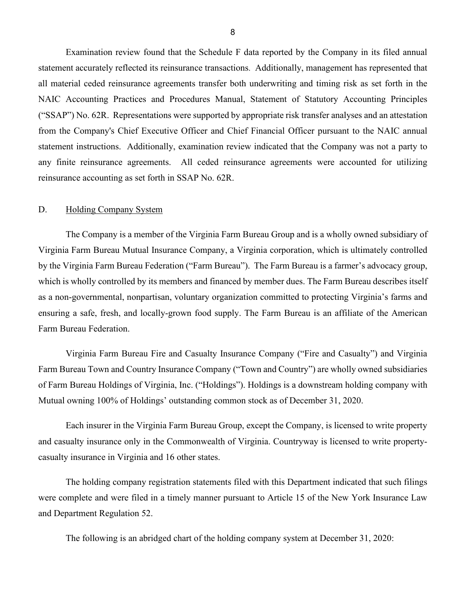Examination review found that the Schedule F data reported by the Company in its filed annual statement accurately reflected its reinsurance transactions. Additionally, management has represented that reinsurance accounting as set forth in SSAP No. 62R.<br>D. Holding Company System all material ceded reinsurance agreements transfer both underwriting and timing risk as set forth in the NAIC Accounting Practices and Procedures Manual, Statement of Statutory Accounting Principles ("SSAP") No. 62R. Representations were supported by appropriate risk transfer analyses and an attestation from the Company's Chief Executive Officer and Chief Financial Officer pursuant to the NAIC annual statement instructions. Additionally, examination review indicated that the Company was not a party to any finite reinsurance agreements. All ceded reinsurance agreements were accounted for utilizing

<span id="page-9-0"></span>The Company is a member of the Virginia Farm Bureau Group and is a wholly owned subsidiary of Virginia Farm Bureau Mutual Insurance Company, a Virginia corporation, which is ultimately controlled by the Virginia Farm Bureau Federation ("Farm Bureau"). The Farm Bureau is a farmer's advocacy group, which is wholly controlled by its members and financed by member dues. The Farm Bureau describes itself as a non-governmental, nonpartisan, voluntary organization committed to protecting Virginia's farms and ensuring a safe, fresh, and locally-grown food supply. The Farm Bureau is an affiliate of the American Farm Bureau Federation.

 Mutual owning 100% of Holdings' outstanding common stock as of December 31, 2020. Virginia Farm Bureau Fire and Casualty Insurance Company ("Fire and Casualty") and Virginia Farm Bureau Town and Country Insurance Company ("Town and Country") are wholly owned subsidiaries of Farm Bureau Holdings of Virginia, Inc. ("Holdings"). Holdings is a downstream holding company with

Each insurer in the Virginia Farm Bureau Group, except the Company, is licensed to write property and casualty insurance only in the Commonwealth of Virginia. Countryway is licensed to write propertycasualty insurance in Virginia and 16 other states.

The holding company registration statements filed with this Department indicated that such filings were complete and were filed in a timely manner pursuant to Article 15 of the New York Insurance Law and Department Regulation 52.

The following is an abridged chart of the holding company system at December 31, 2020: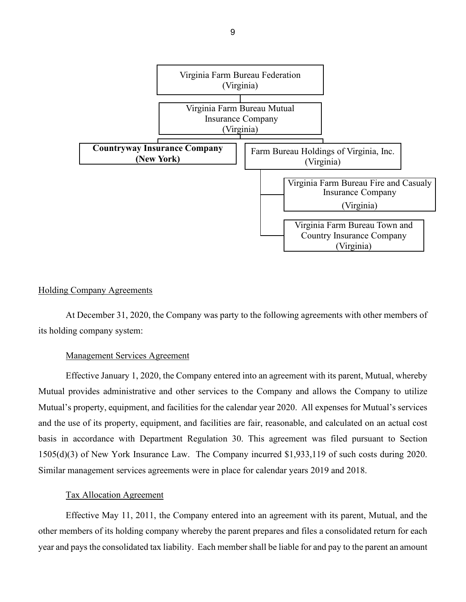

## Holding Company Agreements

its holding company system: its holding company system:<br>Management Services Agreement At December 31, 2020, the Company was party to the following agreements with other members of

Effective January 1, 2020, the Company entered into an agreement with its parent, Mutual, whereby Mutual provides administrative and other services to the Company and allows the Company to utilize Mutual's property, equipment, and facilities for the calendar year 2020. All expenses for Mutual's services and the use of its property, equipment, and facilities are fair, reasonable, and calculated on an actual cost basis in accordance with Department Regulation 30. This agreement was filed pursuant to Section 1505(d)(3) of New York Insurance Law. The Company incurred \$1,933,119 of such costs during 2020. Similar management services agreements were in place for calendar years 2019 and 2018.

### Tax Allocation Agreement

Effective May 11, 2011, the Company entered into an agreement with its parent, Mutual, and the other members of its holding company whereby the parent prepares and files a consolidated return for each year and pays the consolidated tax liability. Each member shall be liable for and pay to the parent an amount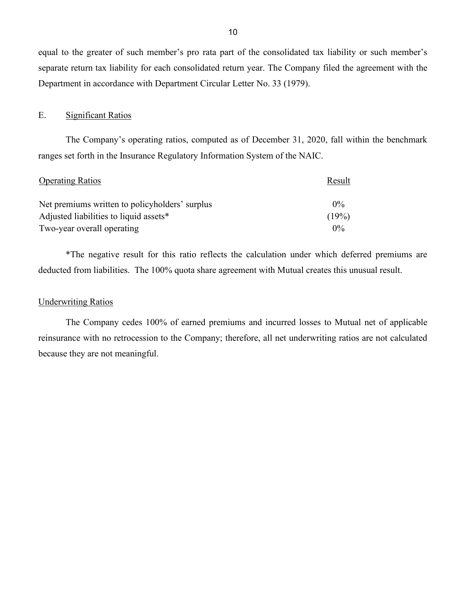equal to the greater of such member's pro rata part of the consolidated tax liability or such member's separate return tax liability for each consolidated return year. The Company filed the agreement with the Department in accordance with Department Circular Letter No. 33 (1979).

### E. Significant Ratios

 ranges set forth in the Insurance Regulatory Information System of the NAIC. The Company's operating ratios, computed as of December 31, 2020, fall within the benchmark

<span id="page-11-0"></span>

| <b>Operating Ratios</b>                        | Result |
|------------------------------------------------|--------|
| Net premiums written to policyholders' surplus | $0\%$  |
| Adjusted liabilities to liquid assets*         | (19%)  |
| Two-year overall operating                     | $0\%$  |

 deducted from liabilities. The 100% quota share agreement with Mutual creates this unusual result. \*The negative result for this ratio reflects the calculation under which deferred premiums are

## **Underwriting Ratios**

The Company cedes 100% of earned premiums and incurred losses to Mutual net of applicable reinsurance with no retrocession to the Company; therefore, all net underwriting ratios are not calculated because they are not meaningful.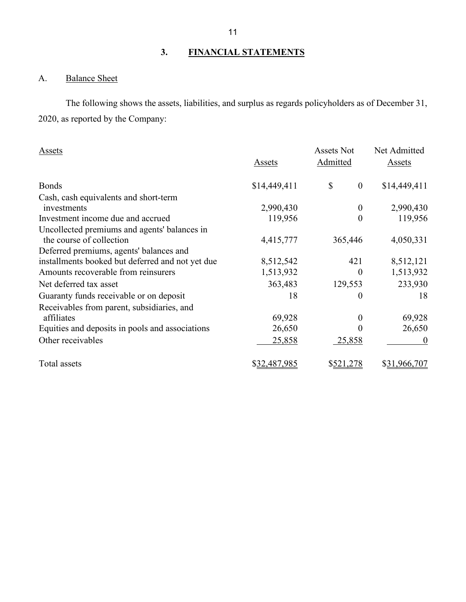# **3. FINANCIAL STATEMENTS**

# <span id="page-12-1"></span><span id="page-12-0"></span>A. Balance Sheet

 2020, as reported by the Company: The following shows the assets, liabilities, and surplus as regards policyholders as of December 31,

| Assets                                           | Assets       | <b>Assets Not</b><br>Admitted | Net Admitted<br>Assets |  |
|--------------------------------------------------|--------------|-------------------------------|------------------------|--|
| <b>Bonds</b>                                     | \$14,449,411 | \$<br>$\boldsymbol{0}$        | \$14,449,411           |  |
| Cash, cash equivalents and short-term            |              |                               |                        |  |
| investments                                      | 2,990,430    | $\theta$                      | 2,990,430              |  |
| Investment income due and accrued                | 119,956      | $\overline{0}$                | 119,956                |  |
| Uncollected premiums and agents' balances in     |              |                               |                        |  |
| the course of collection                         | 4,415,777    | 365,446                       | 4,050,331              |  |
| Deferred premiums, agents' balances and          |              |                               |                        |  |
| installments booked but deferred and not yet due | 8,512,542    | 421                           | 8,512,121              |  |
| Amounts recoverable from reinsurers              | 1,513,932    | 0                             | 1,513,932              |  |
| Net deferred tax asset                           | 363,483      | 129,553                       | 233,930                |  |
| Guaranty funds receivable or on deposit          | 18           | 0                             | 18                     |  |
| Receivables from parent, subsidiaries, and       |              |                               |                        |  |
| affiliates                                       | 69,928       | 0                             | 69,928                 |  |
| Equities and deposits in pools and associations  | 26,650       |                               | 26,650                 |  |
| Other receivables                                | 25,858       | 25,858                        | $\theta$               |  |
| Total assets                                     | \$32,487,985 | \$521,278                     | \$31,966,707           |  |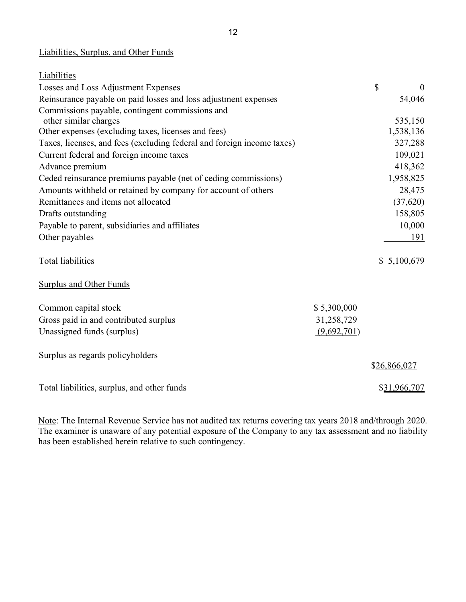# Liabilities, Surplus, and Other Funds

| Liabilities                                                            |             |                    |
|------------------------------------------------------------------------|-------------|--------------------|
| Losses and Loss Adjustment Expenses                                    |             | \$<br>$\mathbf{0}$ |
| Reinsurance payable on paid losses and loss adjustment expenses        |             | 54,046             |
| Commissions payable, contingent commissions and                        |             |                    |
| other similar charges                                                  |             | 535,150            |
| Other expenses (excluding taxes, licenses and fees)                    |             | 1,538,136          |
| Taxes, licenses, and fees (excluding federal and foreign income taxes) |             | 327,288            |
| Current federal and foreign income taxes                               |             | 109,021            |
| Advance premium                                                        |             | 418,362            |
| Ceded reinsurance premiums payable (net of ceding commissions)         |             | 1,958,825          |
| Amounts withheld or retained by company for account of others          |             | 28,475             |
| Remittances and items not allocated                                    |             | (37,620)           |
| Drafts outstanding                                                     |             | 158,805            |
| Payable to parent, subsidiaries and affiliates                         |             | 10,000             |
| Other payables                                                         |             | 191                |
| <b>Total liabilities</b>                                               |             | \$5,100,679        |
| <b>Surplus and Other Funds</b>                                         |             |                    |
| Common capital stock                                                   | \$5,300,000 |                    |
| Gross paid in and contributed surplus                                  | 31,258,729  |                    |
| Unassigned funds (surplus)                                             | (9,692,701) |                    |
| Surplus as regards policyholders                                       |             |                    |
|                                                                        |             | \$26,866,027       |
| Total liabilities, surplus, and other funds                            |             | \$31,966,707       |

Note: The Internal Revenue Service has not audited tax returns covering tax years 2018 and/through 2020. The examiner is unaware of any potential exposure of the Company to any tax assessment and no liability has been established herein relative to such contingency.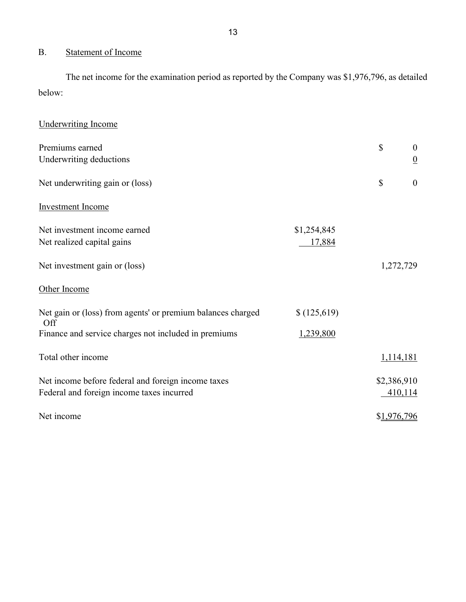# <span id="page-14-0"></span>B. Statement of Income

 The net income for the examination period as reported by the Company was \$1,976,796, as detailed below:

| <b>Underwriting Income</b>                                         |             |             |                  |
|--------------------------------------------------------------------|-------------|-------------|------------------|
| Premiums earned                                                    |             | \$          | $\boldsymbol{0}$ |
| Underwriting deductions                                            |             |             | $\overline{0}$   |
| Net underwriting gain or (loss)                                    |             | \$          | $\overline{0}$   |
| <b>Investment Income</b>                                           |             |             |                  |
| Net investment income earned                                       | \$1,254,845 |             |                  |
| Net realized capital gains                                         | 17,884      |             |                  |
| Net investment gain or (loss)                                      |             |             | 1,272,729        |
| Other Income                                                       |             |             |                  |
| Net gain or (loss) from agents' or premium balances charged<br>Off | \$(125,619) |             |                  |
| Finance and service charges not included in premiums               | 1,239,800   |             |                  |
| Total other income                                                 |             |             | 1,114,181        |
| Net income before federal and foreign income taxes                 |             | \$2,386,910 |                  |
| Federal and foreign income taxes incurred                          |             |             | 410,114          |
| Net income                                                         |             | \$1,976,796 |                  |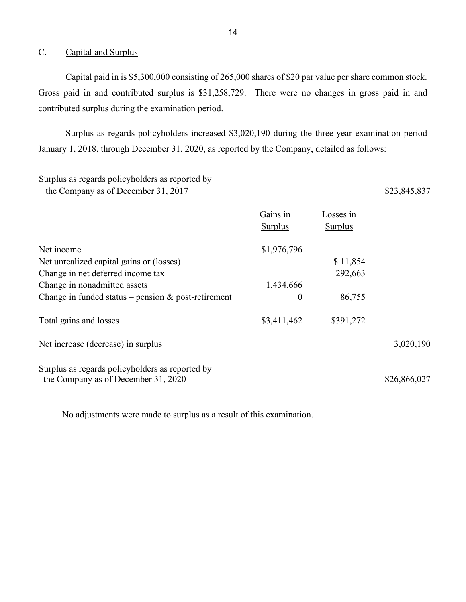## <span id="page-15-0"></span>C. Capital and Surplus

 Capital paid in is \$5,300,000 consisting of 265,000 shares of \$20 par value per share common stock. Gross paid in and contributed surplus is \$31,258,729. There were no changes in gross paid in and contributed surplus during the examination period.

 January 1, 2018, through December 31, 2020, as reported by the Company, detailed as follows: Surplus as regards policyholders increased \$3,020,190 during the three-year examination period

# Surplus as regards policyholders as reported by the Company as of December 31, 2017 \$23,845,837

|                                                                                        | Gains in<br>Surplus | Losses in<br><b>Surplus</b> |              |
|----------------------------------------------------------------------------------------|---------------------|-----------------------------|--------------|
| Net income                                                                             | \$1,976,796         |                             |              |
| Net unrealized capital gains or (losses)                                               |                     | \$11,854                    |              |
| Change in net deferred income tax                                                      |                     | 292,663                     |              |
| Change in nonadmitted assets                                                           | 1,434,666           |                             |              |
| Change in funded status – pension $\&$ post-retirement                                 |                     | 86,755                      |              |
| Total gains and losses                                                                 | \$3,411,462         | \$391,272                   |              |
| Net increase (decrease) in surplus                                                     |                     |                             | 3,020,190    |
| Surplus as regards policyholders as reported by<br>the Company as of December 31, 2020 |                     |                             | \$26,866,027 |

No adjustments were made to surplus as a result of this examination.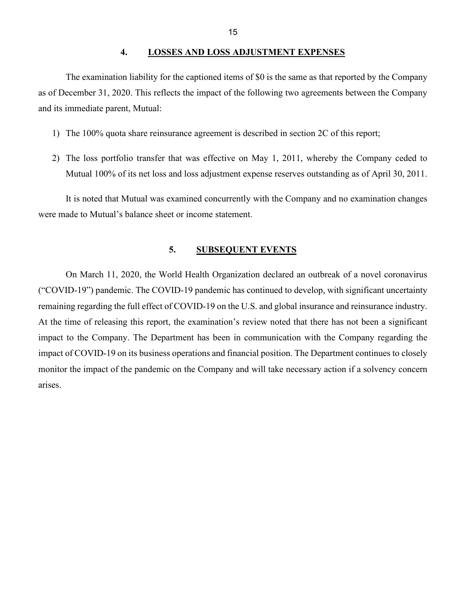## **4. LOSSES AND LOSS ADJUSTMENT EXPENSES**

<span id="page-16-0"></span> as of December 31, 2020. This reflects the impact of the following two agreements between the Company The examination liability for the captioned items of \$0 is the same as that reported by the Company and its immediate parent, Mutual:

- 1) The 100% quota share reinsurance agreement is described in section 2C of this report;
- Mutual 100% of its net loss and loss adjustment expense reserves outstanding as of April 30, 2011. 2) The loss portfolio transfer that was effective on May 1, 2011, whereby the Company ceded to

It is noted that Mutual was examined concurrently with the Company and no examination changes were made to Mutual's balance sheet or income statement.

## **5. SUBSEQUENT EVENTS**

<span id="page-16-1"></span> monitor the impact of the pandemic on the Company and will take necessary action if a solvency concern arises. On March 11, 2020, the World Health Organization declared an outbreak of a novel coronavirus ("COVID-19") pandemic. The COVID-19 pandemic has continued to develop, with significant uncertainty remaining regarding the full effect of COVID-19 on the U.S. and global insurance and reinsurance industry. At the time of releasing this report, the examination's review noted that there has not been a significant impact to the Company. The Department has been in communication with the Company regarding the impact of COVID-19 on its business operations and financial position. The Department continues to closely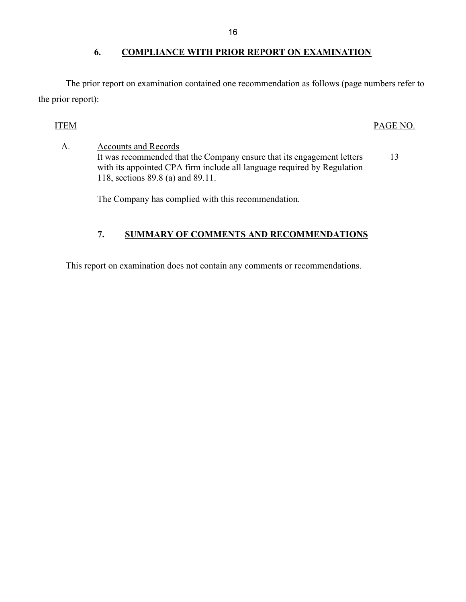# <span id="page-17-0"></span>**6. COMPLIANCE WITH PRIOR REPORT ON EXAMINATION**

The prior report on examination contained one recommendation as follows (page numbers refer to the prior report):

## ITEM PAGE NO.

 118, sections 89.8 (a) and 89.11. A. Accounts and Records It was recommended that the Company ensure that its engagement letters 13 with its appointed CPA firm include all language required by Regulation

The Company has complied with this recommendation.

# **7. SUMMARY OF COMMENTS AND RECOMMENDATIONS**

<span id="page-17-1"></span>This report on examination does not contain any comments or recommendations.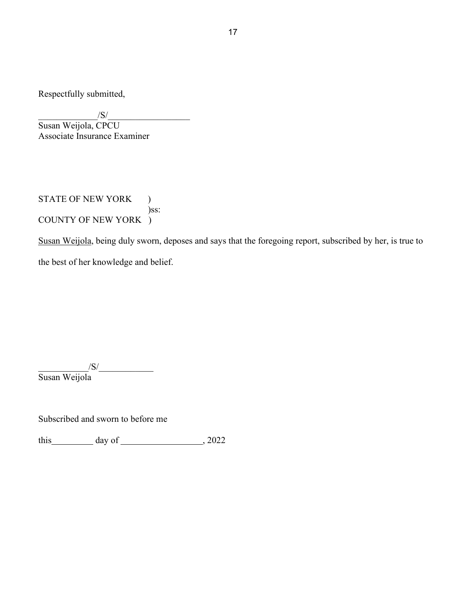Respectfully submitted,

 $\sqrt{\mathrm{S}}/\frac{\mathrm{S}}{\mathrm{S}}$ 

Susan Weijola, CPCU Associate Insurance Examiner

STATE OF NEW YORK ) )ss: COUNTY OF NEW YORK )

Susan Weijola, being duly sworn, deposes and says that the foregoing report, subscribed by her, is true to the best of her knowledge and belief.

 $\sqrt{S}/\sqrt{S}$ Susan Weijola

Subscribed and sworn to before me

this  $\frac{day \text{ of } (2022)}{x^2}$